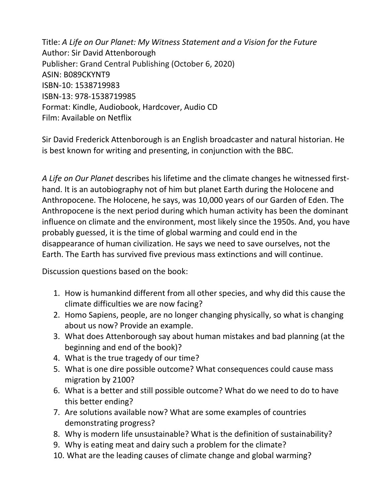Title: *A Life on Our Planet: My Witness Statement and a Vision for the Future* Author: Sir David Attenborough Publisher: Grand Central Publishing (October 6, 2020) ASIN: B089CKYNT9 ISBN-10: 1538719983 ISBN-13: 978-1538719985 Format: Kindle, Audiobook, Hardcover, Audio CD Film: Available on Netflix

Sir David Frederick Attenborough is an English broadcaster and natural historian. He is best known for writing and presenting, in conjunction with the BBC.

*A Life on Our Planet* describes his lifetime and the climate changes he witnessed firsthand. It is an autobiography not of him but planet Earth during the Holocene and Anthropocene. The Holocene, he says, was 10,000 years of our Garden of Eden. The Anthropocene is the next period during which human activity has been the dominant influence on climate and the environment, most likely since the 1950s. And, you have probably guessed, it is the time of global warming and could end in the disappearance of human civilization. He says we need to save ourselves, not the Earth. The Earth has survived five previous mass extinctions and will continue.

Discussion questions based on the book:

- 1. How is humankind different from all other species, and why did this cause the climate difficulties we are now facing?
- 2. Homo Sapiens, people, are no longer changing physically, so what is changing about us now? Provide an example.
- 3. What does Attenborough say about human mistakes and bad planning (at the beginning and end of the book)?
- 4. What is the true tragedy of our time?
- 5. What is one dire possible outcome? What consequences could cause mass migration by 2100?
- 6. What is a better and still possible outcome? What do we need to do to have this better ending?
- 7. Are solutions available now? What are some examples of countries demonstrating progress?
- 8. Why is modern life unsustainable? What is the definition of sustainability?
- 9. Why is eating meat and dairy such a problem for the climate?
- 10. What are the leading causes of climate change and global warming?